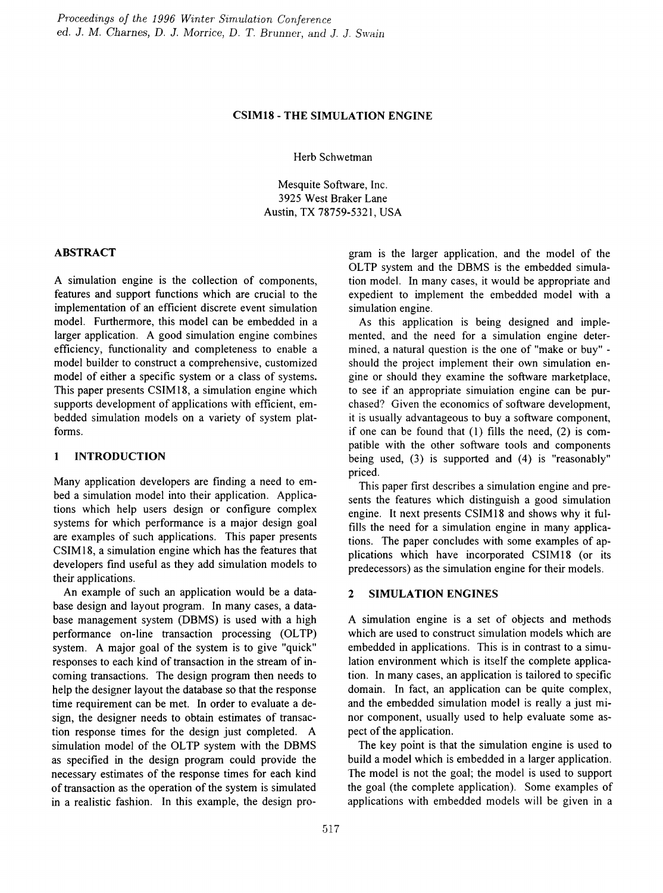## CSIM18 - THE SIMULATION ENGINE

Herb Schwetman

Mesquite Software, Inc. 3925 West Braker Lane Austin, TX 78759-5321, USA

## ABSTRACT

A simulation engine is the collection of components, features and support functions which are crucial to the implementation of an efficient discrete event simulation model. Furthermore, this model can be embedded in a larger application. A good simulation engine combines efficiency, functionality and completeness to enable a model builder to construct a comprehensive, customized model of either a specific system or a class of systems. This paper presents CSIM18, a simulation engine which supports development of applications with efficient, embedded simulation models on a variety of system platforms.

# 1 INTRODUCTION

Many application developers are finding a need to embed a simulation model into their application. Applications which help users design or configure complex systems for which performance is a major design goal are examples of such applications. This paper presents CSIM18, a simulation engine which has the features that developers fmd useful as they add simulation models to their applications.

An example of such an application would be a database design and layout program. In many cases, a database management system (DBMS) is used with a high performance on-line transaction processing (OLTP) system. A major goal of the system is to give "quick" responses to each kind of transaction in the stream of incoming transactions. The design program then needs to help the designer layout the database so that the response time requirement can be met. In order to evaluate a design, the designer needs to obtain estimates of transaction response times for the design just completed. A simulation model of the OLTP system with the DBMS as specified in the design program could provide the necessary estimates of the response times for each kind of transaction as the operation of the system is simulated in a realistic fashion. In this example, the design program is the larger application, and the model of the OLTP system and the DBMS is the embedded simulation model. In many cases, it would be appropriate and expedient to implement the embedded model with a simulation engine.

As this application is being designed and implemented, and the need for a simulation engine determined, a natural question is the one of "make or buy" should the project implement their own simulation engine or should they examine the software marketplace, to see if an appropriate simulation engine can be purchased? Given the economics of software development, it is usually advantageous to buy a software component, if one can be found that (1) fills the need, (2) is compatible with the other software tools and components being used, (3) is supported and (4) is "reasonably" priced.

This paper first describes a simulation engine and presents the features which distinguish a good simulation engine. It next presents CSIM18 and shows why it fulfills the need for a simulation engine in many applications. The paper concludes with some examples of applications which have incorporated CSIM18 (or its predecessors) as the simulation engine for their models.

# 2 SIMULATION ENGINES

A simulation engine is a set of objects and methods which are used to construct simulation models which are embedded in applications. This is in contrast to a simulation environment which is itself the complete application. In many cases, an application is tailored to specific domain. In fact, an application can be quite complex, and the embedded simulation model is really a just minor component, usually used to help evaluate some aspect of the application.

The key point is that the simulation engine is used to build a model which is embedded in a larger application. The model is not the goal; the model is used to support the goal (the complete application). Some examples of applications with embedded models will be given in a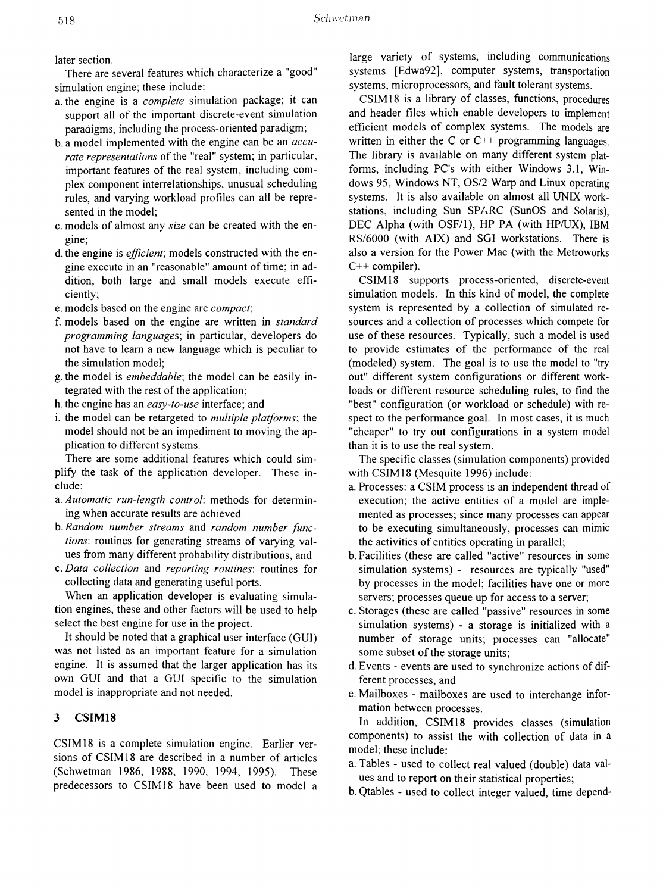later section.

There are several features which characterize a "good" simulation engine; these include:

- a. the engine is a *complete* simulation package; it can support all of the important discrete-event simulation paradigms, including the process-oriented paradigm;
- b. a model implemented with the engine can be an *accurate representations* of the "real" system; in particular, important features of the real system, including complex component interrelationships, unusual scheduling rules, and varying workload profiles can all be represented in the model;
- c. models of almost any *size* can be created with the engine;
- d. the engine is *efficient;* models constructed with the engine execute in an "reasonable" amount of time; in addition, both large and small models execute efficiently;
- e. models based on the engine are *compact;*
- f. models based on the engine are written in *standard programming languages;* in particular, developers do not have to learn a new language which is peculiar to the simulation model;
- g. the model is *embeddable;* the model can be easily integrated with the rest of the application;
- h. the engine has an *easy-to-use* interface; and
- i. the model can be retargeted to *multiple platforms;* the model should not be an impediment to moving the application to different systems.

There are some additional features which could simplify the task of the application developer. These include:

- a. *Automatic run-length control:* methods for detennining when accurate results are achieved
- b. *Random number streams* and *randonl number functions:* routines for generating streams of varying values from many different probability distributions, and
- c. *Data collection* and *reporting routines:* routines for collecting data and generating useful ports.

When an application developer is evaluating simulation engines, these and other factors will be used to help select the best engine for use in the project.

It should be noted that a graphical user interface (GUI) was not listed as an important feature for a simulation engine. It is assumed that the larger application has its own GUI and that a GUI specific to the simulation model is inappropriate and not needed.

## 3 CSIM18

CSIM18 is a complete simulation engine. Earlier versions of CSIM 18 are described in a number of articles (Schwetman 1986, 1988, 1990, 1994, 1995). These predecessors to CSIM18 have been used to model a

large variety of systems, including communications systems [Edwa92], computer systems, transportation systems, microprocessors, and fault tolerant systems.

CSIM 18 is a library of classes, functions, procedures and header files which enable developers to implement efficient models of complex systems. The models are written in either the C or  $C_{++}$  programming languages. The library is available on many different system platforms, including PC's with either Windows 3.1, Windows 95, Windows NT, OS/2 Warp and Linux operating systems. It is also available on almost all UNIX workstations, including Sun SPARC (SunOS and Solaris), DEC Alpha (with OSF/1), HP PA (with HP/UX), IBM RS/6000 (with AIX) and SGI workstations. There is also a version for the Power Mac (with the Metroworks  $C++$  compiler).

CSIM18 supports process-oriented, discrete-event simulation models. In this kind of model, the complete system is represented by a collection of simulated resources and a collection of processes which compete for use of these resources. Typically, such a model is used to provide estimates of the performance of the real (modeled) system. The goal is to use the model to "try out" different system configurations or different workloads or different resource scheduling rules, to find the "best" configuration (or workload or schedule) with respect to the performance goal. In most cases, it is much "cheaper" to try out configurations in a system model than it is to use the real system.

The specific classes (simulation components) provided with CSIM18 (Mesquite 1996) include:

- a. Processes: a CSIM process is an independent thread of execution; the active entities of a model are implemented as processes; since many processes can appear to be executing simultaneously, processes can mimic the activities of entities operating in parallel;
- b. Facilities (these are called "active" resources in some simulation systems) - resources are typically "used" by processes in the model; facilities have one or more servers; processes queue up for access to a server;
- c. Storages (these are called "passive" resources in some simulation systems) - a storage is initialized with a number of storage units; processes can "allocate" some subset of the storage units;
- d. Events events are used to synchronize actions of different processes, and
- e. Mailboxes mailboxes are used to interchange information between processes.

In addition, CSIM18 provides classes (simulation components) to assist the with collection of data in a model; these include:

- a. Tables used to collect real valued (double) data values and to report on their statistical properties;
- b. Qtables used to collect integer valued, time depend-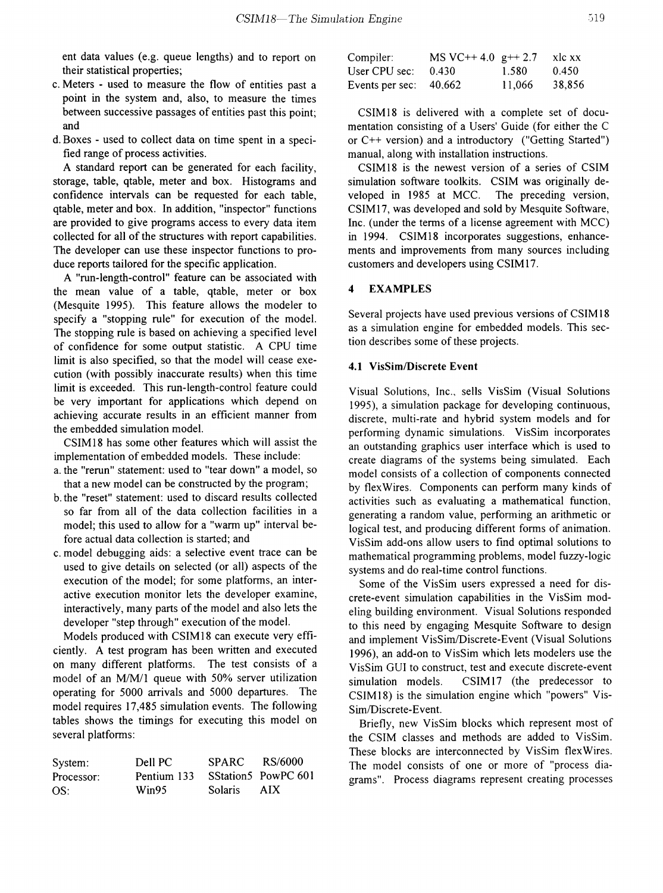ent data values (e.g. queue lengths) and to report on their statistical properties;

- c. Meters used to measure the flow of entities past a point in the system and, also, to measure the times between successive passages of entities past this point; and
- d. Boxes used to collect data on time spent in a specified range of process activities.

A standard report can be generated for each facility, storage, table, qtable, meter and box. Histograms and confidence intervals can be requested for each table, qtable, meter and box. In addition, "inspector" functions are provided to give programs access to every data item collected for all of the structures with report capabilities. The developer can use these inspector functions to produce reports tailored for the specific application.

A "run-length-control" feature can be associated with the mean value of a table, qtable, meter or box (Mesquite 1995). This feature allows the modeler to specify a "stopping rule" for execution of the model. The stopping rule is based on achieving a specified level of confidence for some output statistic. A CPU time limit is also specified, so that the model will cease execution (with possibly inaccurate results) when this time limit is exceeded. This run-length-control feature could be very important for applications which depend on achieving accurate results in an efficient manner from the embedded simulation model.

CSIM18 has some other features which will assist the implementation of embedded models. These include:

a. the "rerun" statement: used to "tear down" a model, so that a new model can be constructed by the program;

- b. the "reset" statement: used to discard results collected so far from all of the data collection facilities in a model; this used to allow for a "warm up" interval before actual data collection is started; and
- c. model debugging aids: a selective event trace can be used to give details on selected (or all) aspects of the execution of the model; for some platforms, an interactive execution monitor lets the developer examine, interactively, many parts of the model and also lets the developer "step through" execution of the model.

Models produced with CSIM18 can execute very efficiently. A test program has been written and executed on many different platforms. The test consists of a model of an M/M/1 queue with 50% server utilization operating for 5000 arrivals and 5000 departures. The model requires 17,485 simulation events. The following tables shows the timings for executing this model on several platforms:

| System:    | Dell PC                         | SPARC RS/6000 |      |
|------------|---------------------------------|---------------|------|
| Processor: | Pentium 133 SStation5 PowPC 601 |               |      |
| OS:        | Win95                           | Solaris       | AIX. |

| Compiler:                | MS VC++ 4.0 $g++2.7$ |        | xlc xx |
|--------------------------|----------------------|--------|--------|
| User CPU sec: .          | 0.430                | 1.580  | 0.450  |
| Events per sec: $40,662$ |                      | 11.066 | 38,856 |

CSIM18 is delivered with a complete set of documentation consisting of a Users' Guide (for either the C or C++ version) and a introductory ("Getting Started") manual, along with installation instructions.

CSIM18 is the newest version of a series of CSIM simulation software toolkits. CSIM was originally developed in 1985 at MCC. The preceding version, CSIMI7, was developed and sold by Mesquite Software, Inc. (under the terms of a license agreement with MCC) in 1994. CSIM18 incorporates suggestions, enhancements and improvements from many sources including customers and developers using CSIM17.

#### 4 EXAMPLES

Several projects have used previous versions of CSIM 18 as a simulation engine for embedded models. This section describes some of these projects.

#### 4.1 VisSim/Discrete Event

Visual Solutions, Inc., sells VisSim (Visual Solutions 1995), a simulation package for developing continuous, discrete, multi-rate and hybrid system models and for performing dynamic simulations. VisSim incorporates an outstanding graphics user interface which is used to create diagrams of the systems being simulated. Each model consists of a collection of components connected by flexWires. Components can perform many kinds of activities such as evaluating a mathematical function, generating a random value, performing an arithmetic or logical test, and producing different forms of animation. VisSim add-ons allow users to fmd optimal solutions to mathematical programming problems, model fuzzy-logic systems and do real-time control functions.

Some of the VisSim users expressed a need for discrete-event simulation capabilities in the VisSim modeling building environment. Visual Solutions responded to this need by engaging Mesquite Software to design and implement VisSim/Discrete-Event (Visual Solutions 1996), an add-on to VisSim which lets modelers use the VisSim GUI to construct, test and execute discrete-event simulation models. CSIM17 (the predecessor to CSIM18) is the simulation engine which "powers" Vis-Sim/Discrete-Event.

Briefly, new VisSim blocks which represent most of the CSIM classes and methods are added to VisSim. These blocks are interconnected by VisSim flexWires. The model consists of one or more of "process diagrams". Process diagrams represent creating processes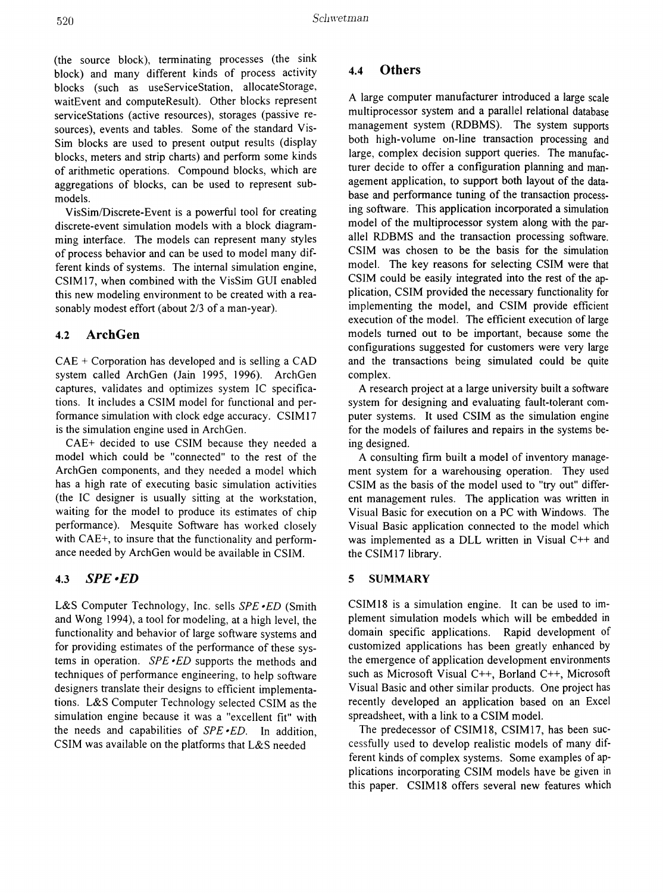(the source block), terminating processes (the sink block) and many different kinds of process activity blocks (such as useServiceStation, allocateStorage, waitEvent and computeResult). Other blocks represent serviceStations (active resources), storages (passive resources), events and tables. Some of the standard Vis-Sim blocks are used to present output results (display blocks, meters and strip charts) and perform some kinds of arithmetic operations. Compound blocks, which are aggregations of blocks, can be used to represent submodels.

VisSim/Discrete-Event is a powerful tool for creating discrete-event simulation models with a block diagramming interface. The models can represent many styles of process behavior and can be used to model many different kinds of systems. The internal simulation engine, CSIMI7, when combined with the VisSim GUI enabled this new modeling environment to be created with a reasonably modest effort (about 2/3 of a man-year).

# 4.2 ArchGen

CAE + Corporation has developed and is selling a CAD system called ArchGen (Jain 1995, 1996). ArchGen captures, validates and optimizes system IC specifications. It includes a CSIM model for functional and performance simulation with clock edge accuracy. CSIM 17 is the simulation engine used in ArchGen.

CAE+ decided to use CSIM because they needed a model which could be "connected" to the rest of the ArchGen components, and they needed a model which has a high rate of executing basic simulation activities (the IC designer is usually sitting at the workstation, waiting for the model to produce its estimates of chip performance). Mesquite Software has worked closely with CAE+, to insure that the functionality and performance needed by ArchGen would be available in CSIM.

# *4.3* SPE-ED

L&S Computer Technology, Inc. sells *SPE -ED* (Smith and Wong 1994), a tool for modeling, at a high level, the functionality and behavior of large software systems and for providing estimates of the performance of these systems in operation. *SPE -ED* supports the methods and techniques of performance engineering, to help software designers translate their designs to efficient implementations. L&S Computer Technology selected CSIM as the simulation engine because it was a "excellent fit" with the needs and capabilities of *SPE -ED.* In addition, CSIM was available on the platforms that L&S needed

## 4.4 Others

A large computer manufacturer introduced a large scale multiprocessor system and a parallel relational database management system (RDBMS). The system supports both high-volume on-line transaction processing and large, complex decision support queries. The manufacturer decide to offer a configuration planning and management application, to support both layout of the database and performance tuning of the transaction processing software. This application incorporated a simulation model of the multiprocessor system along with the parallel RDBMS and the transaction processing software. CSIM was chosen to be the basis for the simulation model. The key reasons for selecting CSIM were that CSIM could be easily integrated into the rest of the application, CSIM provided the necessary functionality for implementing the model, and CSIM provide efficient execution of the model. The efficient execution of large models turned out to be important, because some the configurations suggested for customers were very large and the transactions being simulated could be quite complex.

A research project at a large university built a software system for designing and evaluating fault-tolerant computer systems. It used CSIM as the simulation engine for the models of failures and repairs in the systems being designed.

A consulting frrm built a model of inventory management system for a warehousing operation. They used CSIM as the basis of the model used to "try out" different management rules. The application was written in Visual Basic for execution on a PC with Windows. The Visual Basic application connected to the model which was implemented as a DLL written in Visual C++ and the CSIM17 library.

#### 5 SUMMARY

CSIM18 is a simulation engine. It can be used to implement simulation models which will be embedded in domain specific applications. Rapid development of customized applications has been greatly enhanced by the emergence of application development environments such as Microsoft Visual C++, Borland C++, Microsoft Visual Basic and other similar products. One project has recently developed an application based on an Excel spreadsheet, with a link to a CSIM model.

The predecessor of CSIM18, CSIM17, has been successfully used to develop realistic models of many different kinds of complex systems. Some examples of applications incorporating CSIM models have be given in this paper. CSIM18 offers several new features which